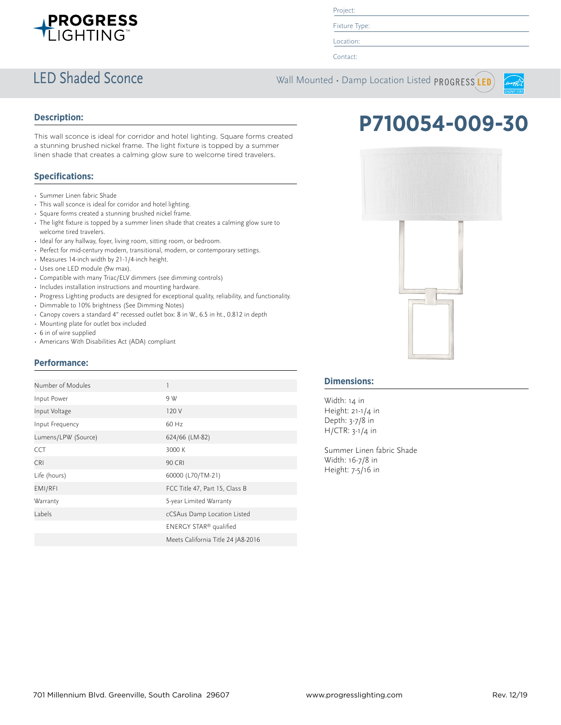

Project:

Fixture Type:

Location:

Contact:

## LED Shaded Sconce Wall Mounted • Damp Location Listed PROGRESS LED



### **Description:**

This wall sconce is ideal for corridor and hotel lighting. Square forms created a stunning brushed nickel frame. The light fixture is topped by a summer linen shade that creates a calming glow sure to welcome tired travelers.

### **Specifications:**

- Summer Linen fabric Shade
- This wall sconce is ideal for corridor and hotel lighting.
- Square forms created a stunning brushed nickel frame.
- The light fixture is topped by a summer linen shade that creates a calming glow sure to welcome tired travelers.
- Ideal for any hallway, foyer, living room, sitting room, or bedroom.
- Perfect for mid-century modern, transitional, modern, or contemporary settings.
- Measures 14-inch width by 21-1/4-inch height.
- Uses one LED module (9w max).
- Compatible with many Triac/ELV dimmers (see dimming controls)
- Includes installation instructions and mounting hardware.
- Progress Lighting products are designed for exceptional quality, reliability, and functionality.
- Dimmable to 10% brightness (See Dimming Notes)
- Canopy covers a standard 4" recessed outlet box: 8 in W., 6.5 in ht., 0.812 in depth
- Mounting plate for outlet box included
- 6 in of wire supplied
- Americans With Disabilities Act (ADA) compliant

### **Performance:**

| Number of Modules   | 1                                  |
|---------------------|------------------------------------|
| Input Power         | 9 W                                |
| Input Voltage       | 120 V                              |
| Input Frequency     | 60 Hz                              |
| Lumens/LPW (Source) | 624/66 (LM-82)                     |
| <b>CCT</b>          | 3000 K                             |
| <b>CRI</b>          | <b>90 CRI</b>                      |
| Life (hours)        | 60000 (L70/TM-21)                  |
| EMI/RFI             | FCC Title 47, Part 15, Class B     |
| Warranty            | 5-year Limited Warranty            |
| Labels              | cCSAus Damp Location Listed        |
|                     | ENERGY STAR <sup>®</sup> qualified |
|                     | Meets California Title 24 JA8-2016 |

# **P710054-009-30**



### **Dimensions:**

Width: 14 in Height: 21-1/4 in Depth: 3-7/8 in H/CTR: 3-1/4 in

Summer Linen fabric Shade Width: 16-7/8 in Height: 7-5/16 in